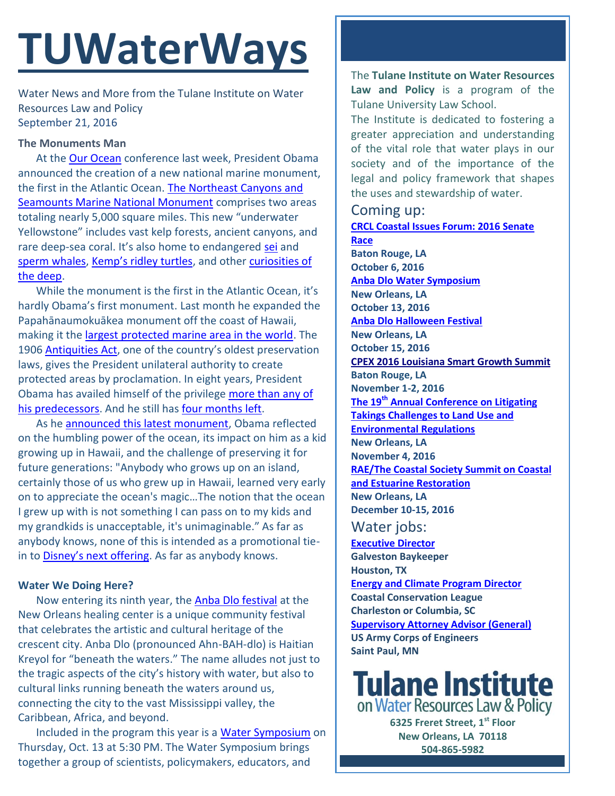# **TUWaterWays**

Water News and More from the Tulane Institute on Water Resources Law and Policy September 21, 2016

#### **The Monuments Man**

At th[e Our Ocean](http://www.state.gov/e/oes/ocns/opa/ourocean/index.htm) conference last week, President Obama announced the creation of a new national marine monument, the first in the Atlantic Ocean. [The Northeast Canyons and](https://www.whitehouse.gov/the-press-office/2016/09/15/fact-sheet-president-obama-continue-global-leadership-combatting-climate)  [Seamounts Marine National Monument](https://www.whitehouse.gov/the-press-office/2016/09/15/fact-sheet-president-obama-continue-global-leadership-combatting-climate) comprises two areas totaling nearly 5,000 square miles. This new "underwater Yellowstone" includes vast kelp forests, ancient canyons, and rare deep-sea coral. It's also home to endangered [sei](http://www.worldwildlife.org/species/sei-whale) and sperm [whales,](http://www.oceanicresearch.org/education/wonders/spermwhales.htm) [Kemp's ridley turtles](http://animals.nationalgeographic.com/animals/reptiles/kemps-ridley-sea-turtle/), and other [curiosities](http://www.livescience.com/40490-ocean-grand-canyons-teem-with-life.html) of [the deep.](http://www.livescience.com/40490-ocean-grand-canyons-teem-with-life.html)

While the monument is the first in the Atlantic Ocean, it's hardly Obama's first monument. Last month he expanded the Papahānaumokuākea monument off the coast of Hawaii, making it th[e largest protected marine area in the world.](https://www.whitehouse.gov/the-press-office/2016/08/26/fact-sheet-president-obama-create-worlds-largest-marine-protected-area) The 1906 [Antiquities Act](https://www.nps.gov/archeology/sites/antiquities/about.htm), one of the country's oldest preservation laws, gives the President unilateral authority to create protected areas by proclamation. In eight years, President Obama has availed himself of the privilege [more than any of](http://www.hikeradventures.com/barack-obama-has-protected-more-places-than-anyone-else-ever/)  [his predecessors.](http://www.hikeradventures.com/barack-obama-has-protected-more-places-than-anyone-else-ever/) And he still has [four months left.](http://www.bearsearscoalition.org/proposal-overview/)

As he announced [this latest monument,](https://www.washingtonpost.com/video/national/obama-unveils-national-marine-monument-in-atlantic/2016/09/15/51938812-7b63-11e6-8064-c1ddc8a724bb_video.html) Obama reflected on the humbling power of the ocean, its impact on him as a kid growing up in Hawaii, and the challenge of preserving it for future generations: "Anybody who grows up on an island, certainly those of us who grew up in Hawaii, learned very early on to appreciate the ocean's magic…The notion that the ocean I grew up with is not something I can pass on to my kids and my grandkids is unacceptable, it's unimaginable." As far as anybody knows, none of this is intended as a promotional tiein to [Disney's next offering](https://www.youtube.com/watch?v=LKFuXETZUsI). As far as anybody knows.

### **Water We Doing Here?**

Now entering its ninth year, the [Anba Dlo festival](http://www.anbadlofestival.org/) at the New Orleans healing center is a unique community festival that celebrates the artistic and cultural heritage of the crescent city. Anba Dlo (pronounced Ahn-BAH-dlo) is Haitian Kreyol for "beneath the waters." The name alludes not just to the tragic aspects of the city's history with water, but also to cultural links running beneath the waters around us, connecting the city to the vast Mississippi valley, the Caribbean, Africa, and beyond.

Included in the program this year is a [Water Symposium](http://www.anbadlofestival.org/water-symposium-1) on Thursday, Oct. 13 at 5:30 PM. The Water Symposium brings together a group of scientists, policymakers, educators, and

The **Tulane Institute on Water Resources Law and Policy** is a program of the Tulane University Law School.

The Institute is dedicated to fostering a greater appreciation and understanding of the vital role that water plays in our society and of the importance of the legal and policy framework that shapes the uses and stewardship of water.

### Coming up:

**[CRCL Coastal Issues Forum: 2016 Senate](http://crcl.org/programs/restoration-policy/2016-senate-race.html?bblinkid=25274655&bbemailid=1975752&bbejrid=132622062)  [Race](http://crcl.org/programs/restoration-policy/2016-senate-race.html?bblinkid=25274655&bbemailid=1975752&bbejrid=132622062) Baton Rouge, LA October 6, 2016 Anba Dlo [Water Symposium](http://www.anbadlofestival.org/water-symposium-1) New Orleans, LA October 13, 2016 [Anba Dlo Halloween](http://www.anbadlofestival.org/) Festival New Orleans, LA October 15, 2016 [CPEX 2016 Louisiana Smart Growth Summit](http://summit.cpex.org/) Baton Rouge, LA November 1-2, 2016 The 19th [Annual Conference on Litigating](http://www.vermontlaw.edu/news-and-events/events/takings-conference)  [Takings Challenges to Land Use and](http://www.vermontlaw.edu/news-and-events/events/takings-conference)  [Environmental Regulations](http://www.vermontlaw.edu/news-and-events/events/takings-conference) New Orleans, LA November 4, 2016 [RAE/The Coastal Society Summit on Coastal](https://www.estuaries.org/Summit)  [and Estuarine Restoration](https://www.estuaries.org/Summit) New Orleans, LA December 10-15, 2016**

## Water jobs:

**[Executive Director](http://www.galvestonbaykeeper.org/job_openings) Galveston Baykeeper Houston, TX [Energy and Climate Program Director](http://coastalconservationleague.org/about/employment-opportunities/energy-climate-program-director/) Coastal Conservation League Charleston or Columbia, SC [Supervisory Attorney Advisor \(General\)](https://www.usajobs.gov/GetJob/ViewDetails/437330200) US Army Corps of Engineers Saint Paul, MN**

# **Tulane Institute** on Water Resources Law & Policy

**6325 Freret Street, 1st Floor New Orleans, LA 70118 504-865-5982** 

**[tulanewater.org](file:///C:/Users/waterlaw/Downloads/tulanewater.org)**